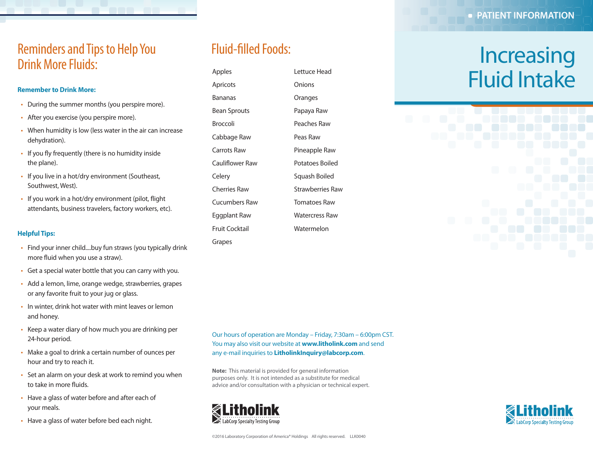### Reminders and Tips to Help You Drink More Fluids:

#### **Remember to Drink More:**

- During the summer months (you perspire more).
- After you exercise (you perspire more).
- When humidity is low (less water in the air can increase dehydration).
- If you fly frequently (there is no humidity inside the plane).
- If you live in a hot/dry environment (Southeast, Southwest, West).
- If you work in a hot/dry environment (pilot, flight attendants, business travelers, factory workers, etc).

#### **Helpful Tips:**

- Find your inner child....buy fun straws (you typically drink more fluid when you use a straw).
- Get a special water bottle that you can carry with you.
- Add a lemon, lime, orange wedge, strawberries, grapes or any favorite fruit to your jug or glass.
- In winter, drink hot water with mint leaves or lemon and honey.
- Keep a water diary of how much you are drinking per 24-hour period.
- Make a goal to drink a certain number of ounces per hour and try to reach it.
- Set an alarm on your desk at work to remind you when to take in more fluids.
- Have a glass of water before and after each of your meals.
- Have a glass of water before bed each night.

## Fluid-filled Foods:

Apples Apricots Bananas Bean Sprouts Broccoli Cabbage Raw Carrots Raw Cauliflower Raw Celery Cherries Raw Cucumbers Raw Eggplant Raw Fruit Cocktail Grapes

Lettuce Head Onions Oranges Papaya Raw Peaches Raw Peas Raw Pineapple Raw Potatoes Boiled Squash Boiled Strawberries Raw Tomatoes Raw Watercress Raw Watermelon

# **Increasing** Fluid Intake

Our hours of operation are Monday – Friday, 7:30am – 6:00pm CST. You may also visit our website at **www.litholink.com** and send any e-mail inquiries to **LitholinkInquiry@labcorp.com**.

**Note:** This material is provided for general information purposes only. It is not intended as a substitute for medical advice and/or consultation with a physician or technical expert.